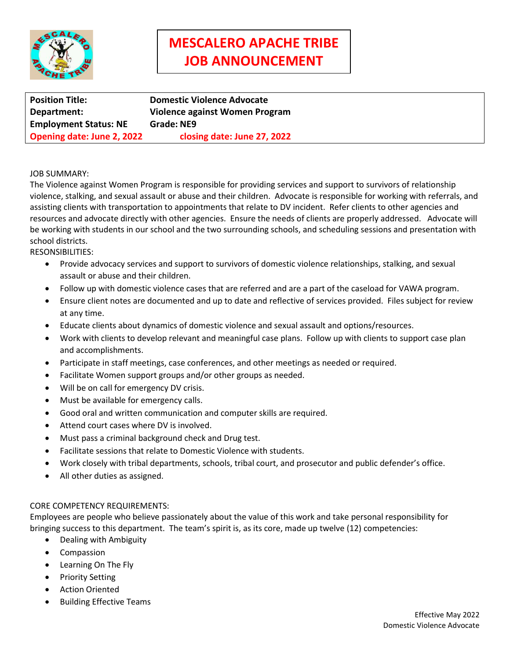

# **MESCALERO APACHE TRIBE JOB ANNOUNCEMENT**

**Position Title: Domestic Violence Advocate Department: Violence against Women Program Employment Status: NE Grade: NE9 Opening date: June 2, 2022 closing date: June 27, 2022**

### JOB SUMMARY:

The Violence against Women Program is responsible for providing services and support to survivors of relationship violence, stalking, and sexual assault or abuse and their children. Advocate is responsible for working with referrals, and assisting clients with transportation to appointments that relate to DV incident. Refer clients to other agencies and resources and advocate directly with other agencies. Ensure the needs of clients are properly addressed. Advocate will be working with students in our school and the two surrounding schools, and scheduling sessions and presentation with school districts.

RESONSIBILITIES:

- Provide advocacy services and support to survivors of domestic violence relationships, stalking, and sexual assault or abuse and their children.
- Follow up with domestic violence cases that are referred and are a part of the caseload for VAWA program.
- Ensure client notes are documented and up to date and reflective of services provided. Files subject for review at any time.
- Educate clients about dynamics of domestic violence and sexual assault and options/resources.
- Work with clients to develop relevant and meaningful case plans. Follow up with clients to support case plan and accomplishments.
- Participate in staff meetings, case conferences, and other meetings as needed or required.
- Facilitate Women support groups and/or other groups as needed.
- Will be on call for emergency DV crisis.
- Must be available for emergency calls.
- Good oral and written communication and computer skills are required.
- Attend court cases where DV is involved.
- Must pass a criminal background check and Drug test.
- Facilitate sessions that relate to Domestic Violence with students.
- Work closely with tribal departments, schools, tribal court, and prosecutor and public defender's office.
- All other duties as assigned.

#### CORE COMPETENCY REQUIREMENTS:

Employees are people who believe passionately about the value of this work and take personal responsibility for bringing success to this department. The team's spirit is, as its core, made up twelve (12) competencies:

- Dealing with Ambiguity
- Compassion
- Learning On The Fly
- Priority Setting
- Action Oriented
- Building Effective Teams